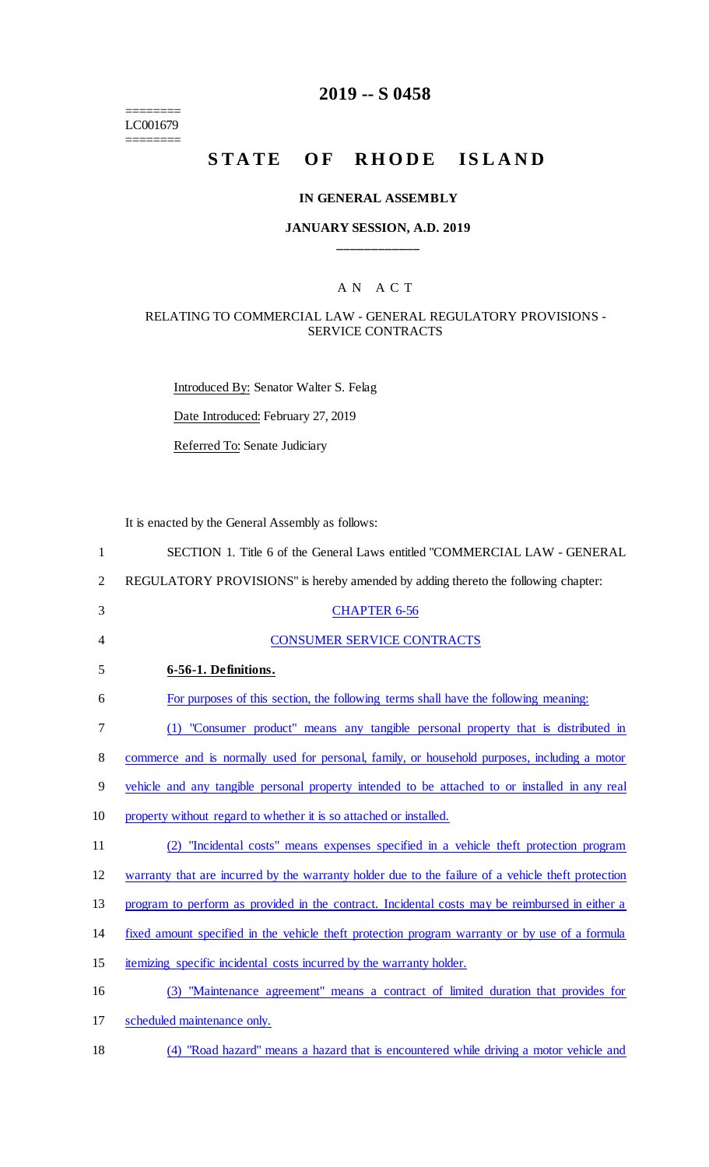======== LC001679 ========

# **2019 -- S 0458**

# **STATE OF RHODE ISLAND**

#### **IN GENERAL ASSEMBLY**

## **JANUARY SESSION, A.D. 2019 \_\_\_\_\_\_\_\_\_\_\_\_**

#### A N A C T

#### RELATING TO COMMERCIAL LAW - GENERAL REGULATORY PROVISIONS - SERVICE CONTRACTS

Introduced By: Senator Walter S. Felag

Date Introduced: February 27, 2019

Referred To: Senate Judiciary

It is enacted by the General Assembly as follows:

| $\mathbf{1}$   | SECTION 1. Title 6 of the General Laws entitled "COMMERCIAL LAW - GENERAL                          |
|----------------|----------------------------------------------------------------------------------------------------|
| $\overline{2}$ | REGULATORY PROVISIONS" is hereby amended by adding thereto the following chapter:                  |
| 3              | <b>CHAPTER 6-56</b>                                                                                |
| 4              | <b>CONSUMER SERVICE CONTRACTS</b>                                                                  |
| 5              | 6-56-1. Definitions.                                                                               |
| 6              | For purposes of this section, the following terms shall have the following meaning:                |
| 7              | (1) "Consumer product" means any tangible personal property that is distributed in                 |
| 8              | commerce and is normally used for personal, family, or household purposes, including a motor       |
| 9              | vehicle and any tangible personal property intended to be attached to or installed in any real     |
| 10             | property without regard to whether it is so attached or installed.                                 |
| 11             | (2) "Incidental costs" means expenses specified in a vehicle theft protection program              |
| 12             | warranty that are incurred by the warranty holder due to the failure of a vehicle theft protection |
| 13             | program to perform as provided in the contract. Incidental costs may be reimbursed in either a     |
| 14             | fixed amount specified in the vehicle theft protection program warranty or by use of a formula     |
| 15             | itemizing specific incidental costs incurred by the warranty holder.                               |
| 16             | (3) "Maintenance agreement" means a contract of limited duration that provides for                 |
| 17             | scheduled maintenance only.                                                                        |

18 (4) "Road hazard" means a hazard that is encountered while driving a motor vehicle and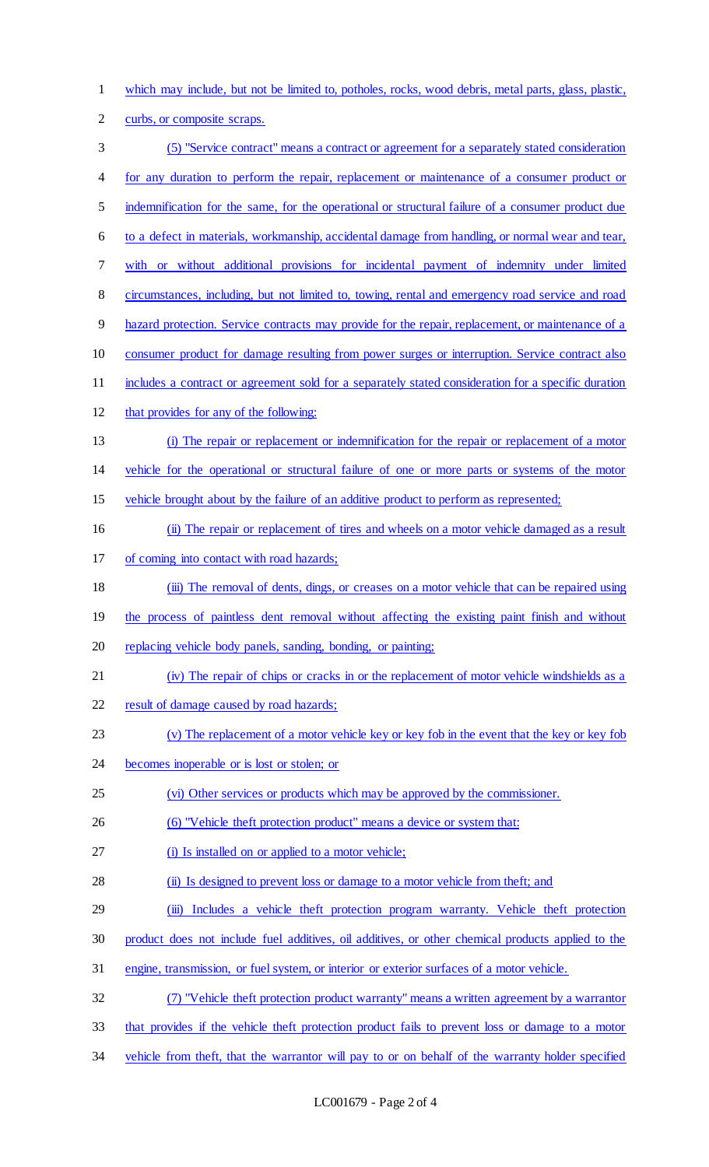which may include, but not be limited to, potholes, rocks, wood debris, metal parts, glass, plastic,

- curbs, or composite scraps.
- (5) "Service contract" means a contract or agreement for a separately stated consideration for any duration to perform the repair, replacement or maintenance of a consumer product or indemnification for the same, for the operational or structural failure of a consumer product due to a defect in materials, workmanship, accidental damage from handling, or normal wear and tear, with or without additional provisions for incidental payment of indemnity under limited circumstances, including, but not limited to, towing, rental and emergency road service and road hazard protection. Service contracts may provide for the repair, replacement, or maintenance of a consumer product for damage resulting from power surges or interruption. Service contract also includes a contract or agreement sold for a separately stated consideration for a specific duration that provides for any of the following: (i) The repair or replacement or indemnification for the repair or replacement of a motor vehicle for the operational or structural failure of one or more parts or systems of the motor vehicle brought about by the failure of an additive product to perform as represented; (ii) The repair or replacement of tires and wheels on a motor vehicle damaged as a result of coming into contact with road hazards; (iii) The removal of dents, dings, or creases on a motor vehicle that can be repaired using the process of paintless dent removal without affecting the existing paint finish and without replacing vehicle body panels, sanding, bonding, or painting; (iv) The repair of chips or cracks in or the replacement of motor vehicle windshields as a 22 result of damage caused by road hazards; (v) The replacement of a motor vehicle key or key fob in the event that the key or key fob becomes inoperable or is lost or stolen; or (vi) Other services or products which may be approved by the commissioner. 26 (6) "Vehicle theft protection product" means a device or system that: 27 (i) Is installed on or applied to a motor vehicle; 28 (ii) Is designed to prevent loss or damage to a motor vehicle from theft; and 29 (iii) Includes a vehicle theft protection program warranty. Vehicle theft protection product does not include fuel additives, oil additives, or other chemical products applied to the engine, transmission, or fuel system, or interior or exterior surfaces of a motor vehicle. (7) "Vehicle theft protection product warranty" means a written agreement by a warrantor that provides if the vehicle theft protection product fails to prevent loss or damage to a motor 34 vehicle from theft, that the warrantor will pay to or on behalf of the warranty holder specified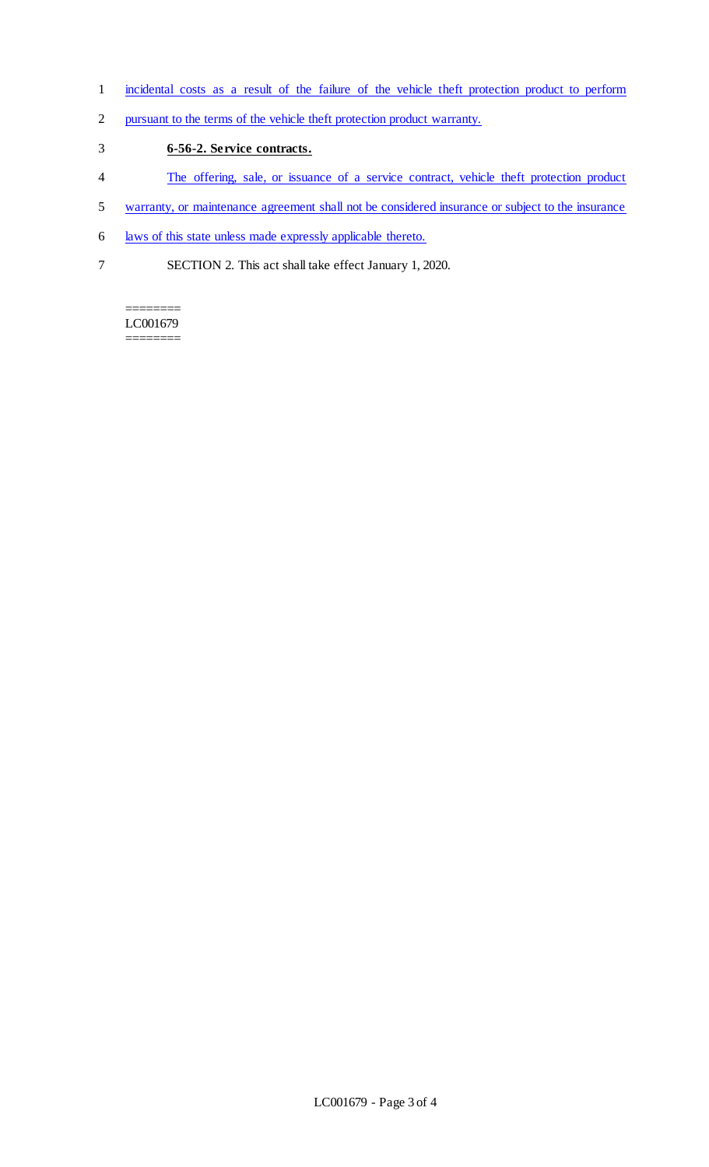- incidental costs as a result of the failure of the vehicle theft protection product to perform
- pursuant to the terms of the vehicle theft protection product warranty.
- **6-56-2. Service contracts.**
- The offering, sale, or issuance of a service contract, vehicle theft protection product
- warranty, or maintenance agreement shall not be considered insurance or subject to the insurance
- laws of this state unless made expressly applicable thereto.
- SECTION 2. This act shall take effect January 1, 2020.

======== LC001679 ========